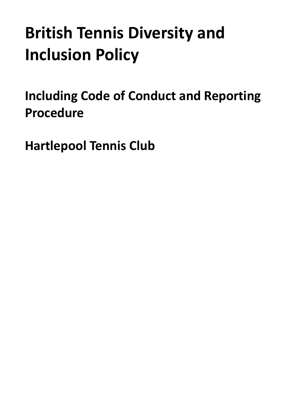# **British Tennis Diversity and Inclusion Policy**

**Including Code of Conduct and Reporting Procedure**

**Hartlepool Tennis Club**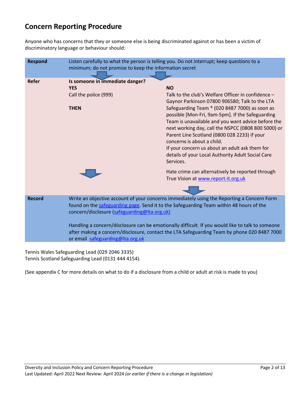# **Concern Reporting Procedure**

Anyone who has concerns that they or someone else is being discriminated against or has been a victim of discriminatory language or behaviour should:

| <b>Respond</b> | Listen carefully to what the person is telling you. Do not interrupt; keep questions to a<br>minimum; do not promise to keep the information secret                                                                                                                                                                                                                                                                                      |                                                                                                                                                                                                                                                                                                                                                                                                                                                                                                                                        |
|----------------|------------------------------------------------------------------------------------------------------------------------------------------------------------------------------------------------------------------------------------------------------------------------------------------------------------------------------------------------------------------------------------------------------------------------------------------|----------------------------------------------------------------------------------------------------------------------------------------------------------------------------------------------------------------------------------------------------------------------------------------------------------------------------------------------------------------------------------------------------------------------------------------------------------------------------------------------------------------------------------------|
| <b>Refer</b>   | Is someone in immediate danger?<br><b>YES</b><br>Call the police (999)<br><b>THEN</b>                                                                                                                                                                                                                                                                                                                                                    | <b>NO</b><br>Talk to the club's Welfare Officer in confidence -<br>Gaynor Parkinson 07800 906580; Talk to the LTA<br>Safeguarding Team * (020 8487 7000) as soon as<br>possible [Mon-Fri, 9am-5pm]. If the Safeguarding<br>Team is unavailable and you want advice before the<br>next working day, call the NSPCC (0808 800 5000) or<br>Parent Line Scotland (0800 028 2233) if your<br>concerns is about a child.<br>If your concern us about an adult ask them for<br>details of your Local Authority Adult Social Care<br>Services. |
|                |                                                                                                                                                                                                                                                                                                                                                                                                                                          | Hate crime can alternatively be reported through<br>True Vision at www.report-it.org.uk                                                                                                                                                                                                                                                                                                                                                                                                                                                |
| <b>Record</b>  | Write an objective account of your concerns immediately using the Reporting a Concern Form<br>found on the safeguarding page. Send it to the Safeguarding Team within 48 hours of the<br>concern/disclosure (safeguarding@lta.org.uk)<br>Handling a concern/disclosure can be emotionally difficult. If you would like to talk to someone<br>after making a concern/disclosure, contact the LTA Safeguarding Team by phone 020 8487 7000 |                                                                                                                                                                                                                                                                                                                                                                                                                                                                                                                                        |
|                | or email safeguarding@Ita.org.uk                                                                                                                                                                                                                                                                                                                                                                                                         |                                                                                                                                                                                                                                                                                                                                                                                                                                                                                                                                        |

Tennis Wales Safeguarding Lead (029 2046 3335) Tennis Scotland Safeguarding Lead (0131 444 4154).

(See appendix C for more details on what to do if a disclosure from a child or adult at risk is made to you)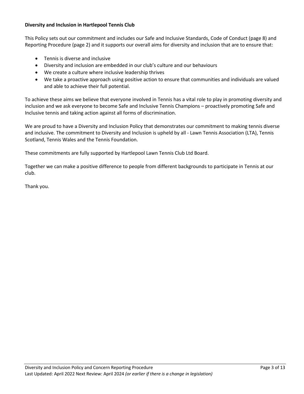# **Diversity and Inclusion in Hartlepool Tennis Club**

This Policy sets out our commitment and includes our Safe and Inclusive Standards, Code of Conduct (page 8) and Reporting Procedure (page 2) and it supports our overall aims for diversity and inclusion that are to ensure that:

- Tennis is diverse and inclusive
- Diversity and inclusion are embedded in our club's culture and our behaviours
- We create a culture where inclusive leadership thrives
- We take a proactive approach using positive action to ensure that communities and individuals are valued and able to achieve their full potential.

To achieve these aims we believe that everyone involved in Tennis has a vital role to play in promoting diversity and inclusion and we ask everyone to become Safe and Inclusive Tennis Champions – proactively promoting Safe and Inclusive tennis and taking action against all forms of discrimination.

We are proud to have a Diversity and Inclusion Policy that demonstrates our commitment to making tennis diverse and inclusive. The commitment to Diversity and Inclusion is upheld by all - Lawn Tennis Association (LTA), Tennis Scotland, Tennis Wales and the Tennis Foundation.

These commitments are fully supported by Hartlepool Lawn Tennis Club Ltd Board.

Together we can make a positive difference to people from different backgrounds to participate in Tennis at our club.

Thank you.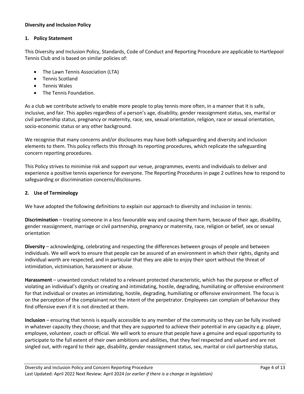# **Diversity and Inclusion Policy**

# **1. Policy Statement**

This Diversity and Inclusion Policy, Standards, Code of Conduct and Reporting Procedure are applicable to Hartlepool Tennis Club and is based on similar policies of:

- The Lawn Tennis Association (LTA)
- Tennis Scotland
- Tennis Wales
- The Tennis Foundation.

As a club we contribute actively to enable more people to play tennis more often, in a manner that it is safe, inclusive, and fair. This applies regardless of a person's age, disability, gender reassignment status, sex, marital or civil partnership status, pregnancy or maternity, race, sex, sexual orientation, religion, race or sexual orientation, socio-economic status or any other background.

We recognise that many concerns and/or disclosures may have both safeguarding and diversity and inclusion elements to them. This policy reflects this through its reporting procedures, which replicate the safeguarding concern reporting procedures.

This Policy strives to minimise risk and support our venue, programmes, events and individuals to deliver and experience a positive tennis experience for everyone. The Reporting Procedures in page 2 outlines how to respond to safeguarding or discrimination concerns/disclosures.

# **2. Use of Terminology**

We have adopted the following definitions to explain our approach to diversity and inclusion in tennis:

**Discrimination** – treating someone in a less favourable way and causing them harm, because of their age, disability, gender reassignment, marriage or civil partnership, pregnancy or maternity, race, religion or belief, sex or sexual orientation

**Diversity** – acknowledging, celebrating and respecting the differences between groups of people and between individuals. We will work to ensure that people can be assured of an environment in which their rights, dignity and individual worth are respected, and in particular that they are able to enjoy their sport without the threat of intimidation, victimisation, harassment or abuse.

**Harassment** – unwanted conduct related to a relevant protected characteristic, which has the purpose or effect of violating an individual's dignity or creating and intimidating, hostile, degrading, humiliating or offensive environment for that individual or creates an intimidating, hostile, degrading, humiliating or offensive environment. The focus is on the perception of the complainant not the intent of the perpetrator. Employees can complain of behaviour they find offensive even if it is not directed at them.

**Inclusion** – ensuring that tennis is equally accessible to any member of the community so they can be fully involved in whatever capacity they choose; and that they are supported to achieve their potential in any capacity e.g. player, employee, volunteer, coach or official. We will work to ensure that people have a genuine and equal opportunity to participate to the full extent of their own ambitions and abilities, that they feel respected and valued and are not singled out, with regard to their age, disability, gender reassignment status, sex, marital or civil partnership status,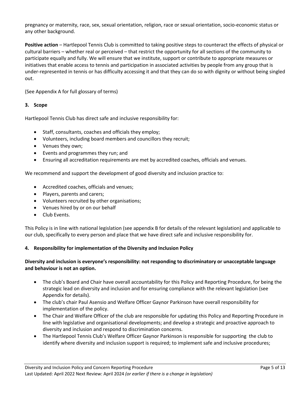pregnancy or maternity, race, sex, sexual orientation, religion, race or sexual orientation, socio-economic status or any other background.

**Positive action** – Hartlepool Tennis Club is committed to taking positive steps to counteract the effects of physical or cultural barriers – whether real or perceived – that restrict the opportunity for all sections of the community to participate equally and fully. We will ensure that we institute, support or contribute to appropriate measures or initiatives that enable access to tennis and participation in associated activities by people from any group that is under-represented in tennis or has difficulty accessing it and that they can do so with dignity or without being singled out.

(See Appendix A for full glossary of terms)

## **3. Scope**

Hartlepool Tennis Club has direct safe and inclusive responsibility for:

- Staff, consultants, coaches and officials they employ;
- Volunteers, including board members and councillors they recruit;
- Venues they own;
- Events and programmes they run; and
- Ensuring all accreditation requirements are met by accredited coaches, officials and venues.

We recommend and support the development of good diversity and inclusion practice to:

- Accredited coaches, officials and venues;
- Players, parents and carers;
- Volunteers recruited by other organisations;
- Venues hired by or on our behalf
- Club Events.

This Policy is in line with national legislation (see appendix B for details of the relevant legislation) and applicable to our club, specifically to every person and place that we have direct safe and inclusive responsibility for.

## **4. Responsibility for implementation of the Diversity and Inclusion Policy**

# **Diversity and inclusion is everyone's responsibility: not responding to discriminatory or unacceptable language and behaviour is not an option.**

- The club's Board and Chair have overall accountability for this Policy and Reporting Procedure, for being the strategic lead on diversity and inclusion and for ensuring compliance with the relevant legislation (see Appendix for details).
- The club's chair Paul Asensio and Welfare Officer Gaynor Parkinson have overall responsibility for implementation of the policy.
- The Chair and Welfare Officer of the club are responsible for updating this Policy and Reporting Procedure in line with legislative and organisational developments; and develop a strategic and proactive approach to diversity and inclusion and respond to discrimination concerns.
- The Hartlepool Tennis Club's Welfare Officer Gaynor Parkinson is responsible for supporting the club to identify where diversity and inclusion support is required; to implement safe and inclusive procedures;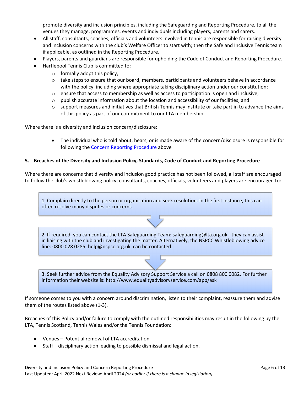promote diversity and inclusion principles, including the Safeguarding and Reporting Procedure, to all the venues they manage, programmes, events and individuals including players, parents and carers.

- All staff, consultants, coaches, officials and volunteers involved in tennis are responsible for raising diversity and inclusion concerns with the club's Welfare Officer to start with; then the Safe and Inclusive Tennis team if applicable, as outlined in the Reporting Procedure.
- Players, parents and guardians are responsible for upholding the Code of Conduct and Reporting Procedure.
- Hartlepool Tennis Club is committed to:
	- $\circ$  formally adopt this policy,
	- $\circ$  take steps to ensure that our board, members, participants and volunteers behave in accordance with the policy, including where appropriate taking disciplinary action under our constitution;
	- $\circ$  ensure that access to membership as well as access to participation is open and inclusive;
	- $\circ$  publish accurate information about the location and accessibility of our facilities; and
	- $\circ$  support measures and initiatives that British Tennis may institute or take part in to advance the aims of this policy as part of our commitment to our LTA membership.

Where there is a diversity and inclusion concern/disclosure:

• The individual who is told about, hears, or is made aware of the concern/disclosure is responsible for following the Concern Reporting Procedure above

## **5. Breaches of the Diversity and Inclusion Policy, Standards, Code of Conduct and Reporting Procedure**

Where there are concerns that diversity and inclusion good practice has not been followed, all staff are encouraged to follow the club's whistleblowing policy; consultants, coaches, officials, volunteers and players are encouraged to:

1. Complain directly to the person or organisation and seek resolution. In the first instance, this can often resolve many disputes or concerns.

2. If required, you can contact the LTA Safeguarding Team: safeguarding@lta.org.uk - they can assist in liaising with the club and investigating the matter. Alternatively, the NSPCC Whistleblowing advice line: 0800 028 0285; help@nspcc.org.uk can be contacted.

3. Seek further advice from the Equality Advisory Support Service a call on 0808 800 0082. For further information their website is: http://www.equalityadvisoryservice.com/app/ask

If someone comes to you with a concern around discrimination, listen to their complaint, reassure them and advise them of the routes listed above (1-3).

Breaches of this Policy and/or failure to comply with the outlined responsibilities may result in the following by the LTA, Tennis Scotland, Tennis Wales and/or the Tennis Foundation:

- Venues Potential removal of LTA accreditation
- Staff disciplinary action leading to possible dismissal and legal action.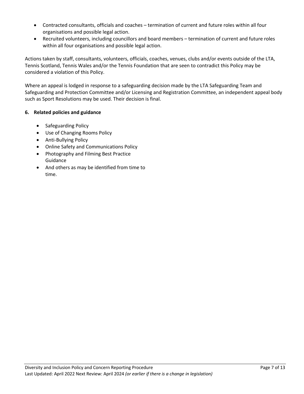- Contracted consultants, officials and coaches termination of current and future roles within all four organisations and possible legal action.
- Recruited volunteers, including councillors and board members termination of current and future roles within all four organisations and possible legal action.

Actions taken by staff, consultants, volunteers, officials, coaches, venues, clubs and/or events outside of the LTA, Tennis Scotland, Tennis Wales and/or the Tennis Foundation that are seen to contradict this Policy may be considered a violation of this Policy.

Where an appeal is lodged in response to a safeguarding decision made by the LTA Safeguarding Team and Safeguarding and Protection Committee and/or Licensing and Registration Committee, an independent appeal body such as Sport Resolutions may be used. Their decision is final.

# **6. Related policies and guidance**

- Safeguarding Policy
- Use of Changing Rooms Policy
- Anti-Bullying Policy
- Online Safety and Communications Policy
- Photography and Filming Best Practice Guidance
- And others as may be identified from time to time.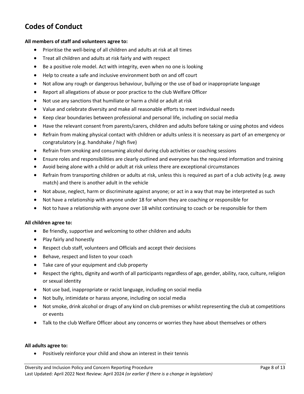# **Codes of Conduct**

## **All members of staff and volunteers agree to:**

- Prioritise the well-being of all children and adults at risk at all times
- Treat all children and adults at risk fairly and with respect
- Be a positive role model. Act with integrity, even when no one is looking
- Help to create a safe and inclusive environment both on and off court
- Not allow any rough or dangerous behaviour, bullying or the use of bad or inappropriate language
- Report all allegations of abuse or poor practice to the club Welfare Officer
- Not use any sanctions that humiliate or harm a child or adult at risk
- Value and celebrate diversity and make all reasonable efforts to meet individual needs
- Keep clear boundaries between professional and personal life, including on social media
- Have the relevant consent from parents/carers, children and adults before taking or using photos and videos
- Refrain from making physical contact with children or adults unless it is necessary as part of an emergency or congratulatory (e.g. handshake / high five)
- Refrain from smoking and consuming alcohol during club activities or coaching sessions
- Ensure roles and responsibilities are clearly outlined and everyone has the required information and training
- Avoid being alone with a child or adult at risk unless there are exceptional circumstances
- Refrain from transporting children or adults at risk, unless this is required as part of a club activity (e.g. away match) and there is another adult in the vehicle
- Not abuse, neglect, harm or discriminate against anyone; or act in a way that may be interpreted as such
- Not have a relationship with anyone under 18 for whom they are coaching or responsible for
- Not to have a relationship with anyone over 18 whilst continuing to coach or be responsible for them

## **All children agree to:**

- Be friendly, supportive and welcoming to other children and adults
- Play fairly and honestly
- Respect club staff, volunteers and Officials and accept their decisions
- Behave, respect and listen to your coach
- Take care of your equipment and club property
- Respect the rights, dignity and worth of all participants regardless of age, gender, ability, race, culture, religion or sexual identity
- Not use bad, inappropriate or racist language, including on social media
- Not bully, intimidate or harass anyone, including on social media
- Not smoke, drink alcohol or drugs of any kind on club premises or whilst representing the club at competitions or events
- Talk to the club Welfare Officer about any concerns or worries they have about themselves or others

#### **All adults agree to:**

• Positively reinforce your child and show an interest in their tennis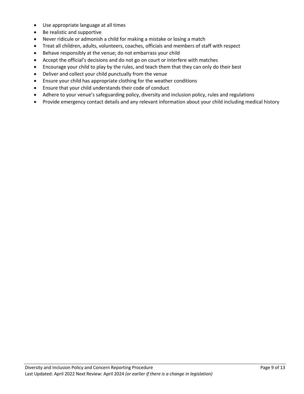- Use appropriate language at all times
- Be realistic and supportive
- Never ridicule or admonish a child for making a mistake or losing a match
- Treat all children, adults, volunteers, coaches, officials and members of staff with respect
- Behave responsibly at the venue; do not embarrass your child
- Accept the official's decisions and do not go on court or interfere with matches
- Encourage your child to play by the rules, and teach them that they can only do their best
- Deliver and collect your child punctually from the venue
- Ensure your child has appropriate clothing for the weather conditions
- Ensure that your child understands their code of conduct
- Adhere to your venue's safeguarding policy, diversity and inclusion policy, rules and regulations
- Provide emergency contact details and any relevant information about your child including medical history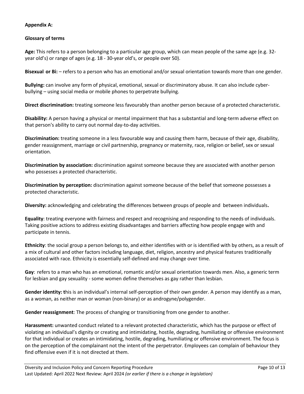# **Appendix A:**

# **Glossary of terms**

**Age:** This refers to a person belonging to a particular age group, which can mean people of the same age (e.g. 32 year old's) or range of ages (e.g. 18 - 30-year old's, or people over 50).

**Bisexual or Bi:** – refers to a person who has an emotional and/or sexual orientation towards more than one gender.

**Bullying:** can involve any form of physical, emotional, sexual or discriminatory abuse. It can also include cyberbullying – using social media or mobile phones to perpetrate bullying.

**Direct discrimination:** treating someone less favourably than another person because of a protected characteristic.

**Disability:** A person having a physical or mental impairment that has a substantial and long-term adverse effect on that person's ability to carry out normal day-to-day activities.

**Discrimination:** treating someone in a less favourable way and causing them harm, because of their age, disability, gender reassignment, marriage or civil partnership, pregnancy or maternity, race, religion or belief, sex or sexual orientation.

**Discrimination by association:** discrimination against someone because they are associated with another person who possesses a protected characteristic.

**Discrimination by perception:** discrimination against someone because of the belief that someone possesses a protected characteristic.

**Diversity:** acknowledging and celebrating the differences between groups of people and between individuals**.**

**Equality**: treating everyone with fairness and respect and recognising and responding to the needs of individuals. Taking positive actions to address existing disadvantages and barriers affecting how people engage with and participate in tennis.

**Ethnicity**: the social group a person belongs to, and either identifies with or is identified with by others, as a result of a mix of cultural and other factors including language, diet, religion, ancestry and physical features traditionally associated with race. Ethnicity is essentially self-defined and may change over time.

**Gay**: refers to a man who has an emotional, romantic and/or sexual orientation towards men. Also, a generic term for lesbian and gay sexuality - some women define themselves as gay rather than lesbian.

**Gender identity: t**his is an individual's internal self-perception of their own gender. A person may identify as a man, as a woman, as neither man or woman (non-binary) or as androgyne/polygender.

**Gender reassignment**: The process of changing or transitioning from one gender to another.

**Harassment:** unwanted conduct related to a relevant protected characteristic, which has the purpose or effect of violating an individual's dignity or creating and intimidating, hostile, degrading, humiliating or offensive environment for that individual or creates an intimidating, hostile, degrading, humiliating or offensive environment. The focus is on the perception of the complainant not the intent of the perpetrator. Employees can complain of behaviour they find offensive even if it is not directed at them.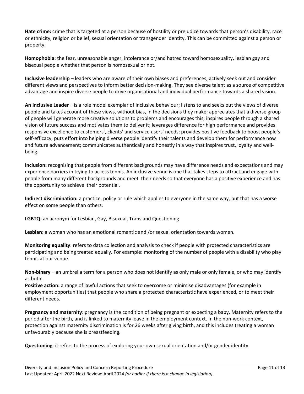**Hate crime:** crime that is targeted at a person because of hostility or prejudice towards that person's disability, race or ethnicity, religion or belief, sexual orientation or transgender identity. This can be committed against a person or property.

**Homophobia**: the fear, unreasonable anger, intolerance or/and hatred toward homosexuality, lesbian gay and bisexual people whether that person is homosexual or not.

**Inclusive leadership** – leaders who are aware of their own biases and preferences, actively seek out and consider different views and perspectives to inform better decision-making. They see diverse talent as a source of competitive advantage and inspire diverse people to drive organisational and individual performance towards a shared vision.

**An Inclusive Leader** – is a role model exemplar of inclusive behaviour; listens to and seeks out the views of diverse people and takes account of these views, without bias, in the decisions they make; appreciates that a diverse group of people will generate more creative solutions to problems and encourages this; inspires people through a shared vision of future success and motivates them to deliver it; leverages difference for high performance and provides responsive excellence to customers', clients' and service users' needs; provides positive feedback to boost people's self-efficacy; puts effort into helping diverse people identify their talents and develop them for performance now and future advancement; communicates authentically and honestly in a way that inspires trust, loyalty and wellbeing.

**Inclusion:** recognising that people from different backgrounds may have difference needs and expectations and may experience barriers in trying to access tennis. An inclusive venue is one that takes steps to attract and engage with people from many different backgrounds and meet their needs so that everyone has a positive experience and has the opportunity to achieve their potential.

**Indirect discrimination:** a practice, policy or rule which applies to everyone in the same way, but that has a worse effect on some people than others.

**LGBTQ:** an acronym for Lesbian, Gay, Bisexual, Trans and Questioning.

**Lesbian**: a woman who has an emotional romantic and /or sexual orientation towards women.

**Monitoring equality**: refers to data collection and analysis to check if people with protected characteristics are participating and being treated equally. For example: monitoring of the number of people with a disability who play tennis at our venue.

**Non-binary** – an umbrella term for a person who does not identify as only male or only female, or who may identify as both.

**Positive action:** a range of lawful actions that seek to overcome or minimise disadvantages (for example in employment opportunities) that people who share a protected characteristic have experienced, or to meet their different needs.

**Pregnancy and maternity**: pregnancy is the condition of being pregnant or expecting a baby. Maternity refers to the period after the birth, and is linked to maternity leave in the employment context. In the non-work context, protection against maternity discrimination is for 26 weeks after giving birth, and this includes treating a woman unfavourably because she is breastfeeding.

**Questioning**: it refers to the process of exploring your own sexual orientation and/or gender identity.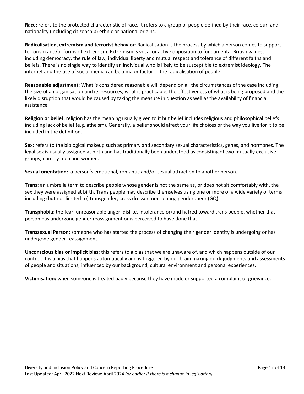**Race:** refers to the protected characteristic of race. It refers to a group of people defined by their race, colour, and nationality (including citizenship) ethnic or national origins.

**Radicalisation, extremism and terrorist behavior**: Radicalisation is the process by which a person comes to support terrorism and/or forms of extremism. Extremism is vocal or active opposition to fundamental British values, including democracy, the rule of law, individual liberty and mutual respect and tolerance of different faiths and beliefs. There is no single way to identify an individual who is likely to be susceptible to extremist ideology. The internet and the use of social media can be a major factor in the radicalisation of people.

**Reasonable adjustment**: What is considered reasonable will depend on all the circumstances of the case including the size of an organisation and its resources, what is practicable, the effectiveness of what is being proposed and the likely disruption that would be caused by taking the measure in question as well as the availability of financial assistance

**Religion or belief:** religion has the meaning usually given to it but belief includes religious and philosophical beliefs including lack of belief (e.g. atheism). Generally, a belief should affect your life choices or the way you live for it to be included in the definition.

**Sex:** refers to the biological makeup such as primary and secondary sexual characteristics, genes, and hormones. The legal sex is usually assigned at birth and has traditionally been understood as consisting of two mutually exclusive groups, namely men and women.

**Sexual orientation:** a person's emotional, romantic and/or sexual attraction to another person.

**Trans:** an umbrella term to describe people whose gender is not the same as, or does not sit comfortably with, the sex they were assigned at birth. Trans people may describe themselves using one or more of a wide variety of terms, including (but not limited to) transgender, cross dresser, non-binary, genderqueer (GQ).

**Transphobia**: the fear, unreasonable anger, dislike, intolerance or/and hatred toward trans people, whether that person has undergone gender reassignment or is perceived to have done that.

**Transsexual Person:** someone who has started the process of changing their gender identity is undergoing or has undergone gender reassignment.

**Unconscious bias or implicit bias:** this refers to a bias that we are unaware of, and which happens outside of our control. It is a bias that happens automatically and is triggered by our brain making quick judgments and assessments of people and situations, influenced by our background, cultural environment and personal experiences.

**Victimisation:** when someone is treated badly because they have made or supported a complaint or grievance.